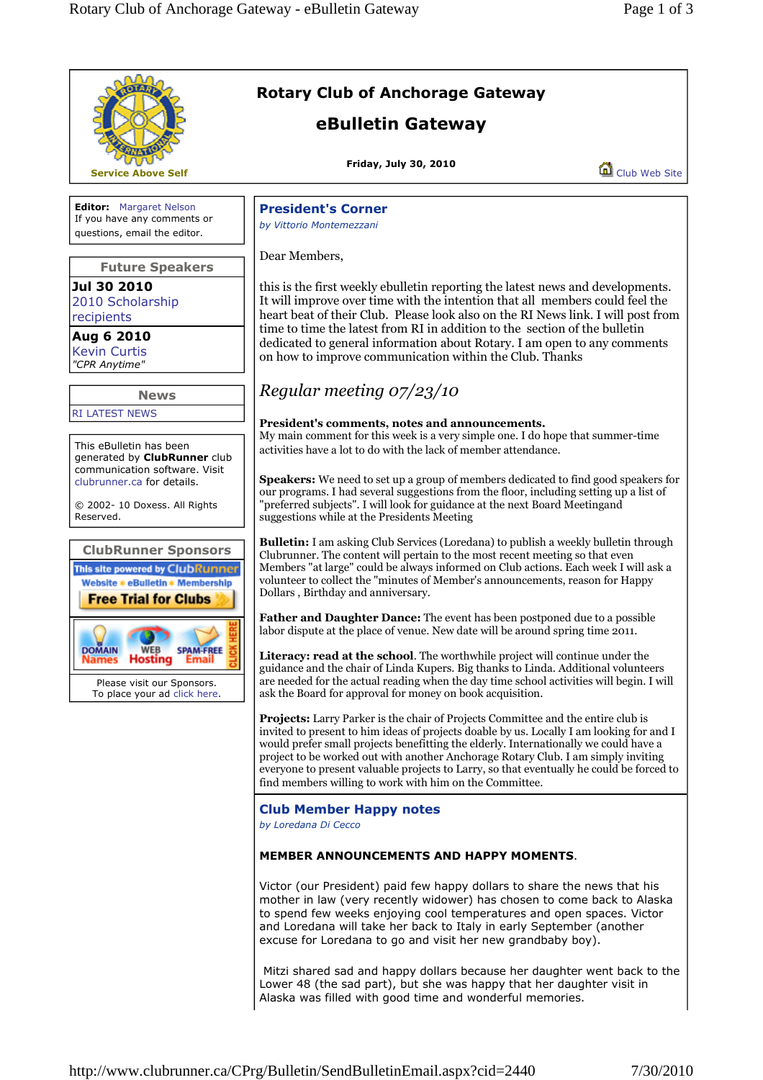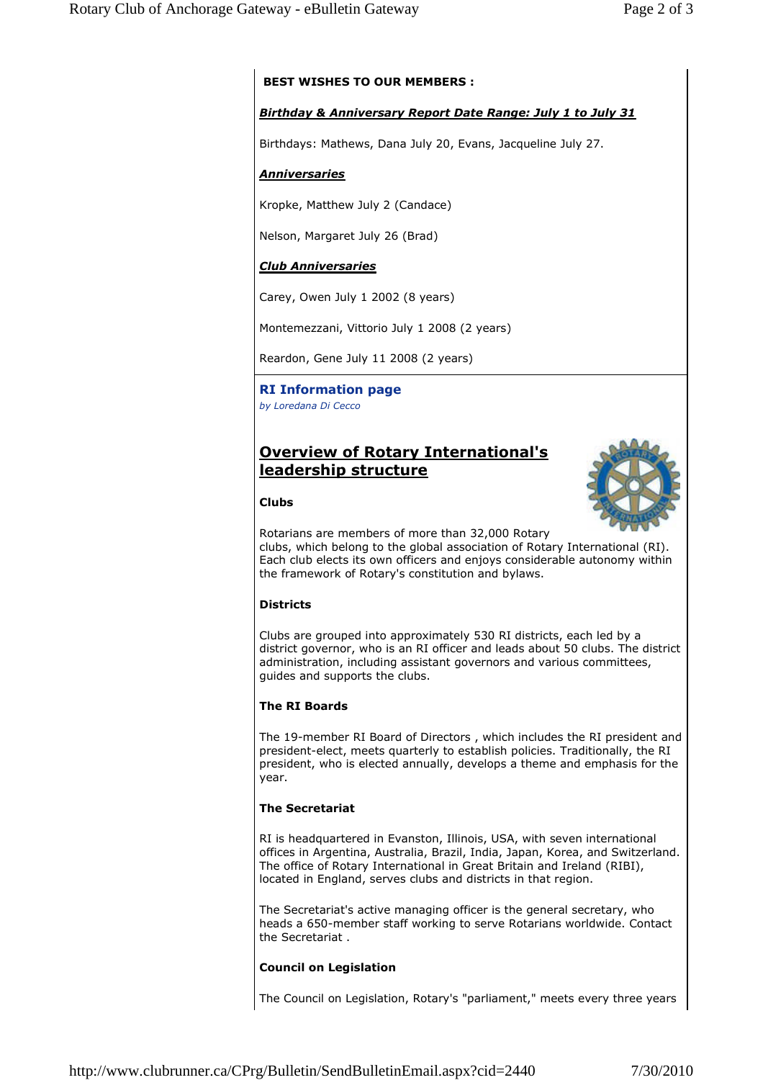# **BEST WISHES TO OUR MEMBERS :**

## *Birthday & Anniversary Report Date Range: July 1 to July 31*

Birthdays: Mathews, Dana July 20, Evans, Jacqueline July 27.

## *Anniversaries*

Kropke, Matthew July 2 (Candace)

Nelson, Margaret July 26 (Brad)

## *Club Anniversaries*

Carey, Owen July 1 2002 (8 years)

Montemezzani, Vittorio July 1 2008 (2 years)

Reardon, Gene July 11 2008 (2 years)

# **RI Information page**

*by Loredana Di Cecco*

# **Overview of Rotary International's leadership structure**



#### **Clubs**

Rotarians are members of more than 32,000 Rotary clubs, which belong to the global association of Rotary International (RI). Each club elects its own officers and enjoys considerable autonomy within the framework of Rotary's constitution and bylaws.

## **Districts**

Clubs are grouped into approximately 530 RI districts, each led by a district governor, who is an RI officer and leads about 50 clubs. The district administration, including assistant governors and various committees, guides and supports the clubs.

## **The RI Boards**

The 19-member RI Board of Directors , which includes the RI president and president-elect, meets quarterly to establish policies. Traditionally, the RI president, who is elected annually, develops a theme and emphasis for the year.

## **The Secretariat**

RI is headquartered in Evanston, Illinois, USA, with seven international offices in Argentina, Australia, Brazil, India, Japan, Korea, and Switzerland. The office of Rotary International in Great Britain and Ireland (RIBI), located in England, serves clubs and districts in that region.

The Secretariat's active managing officer is the general secretary, who heads a 650-member staff working to serve Rotarians worldwide. Contact the Secretariat .

## **Council on Legislation**

The Council on Legislation, Rotary's "parliament," meets every three years